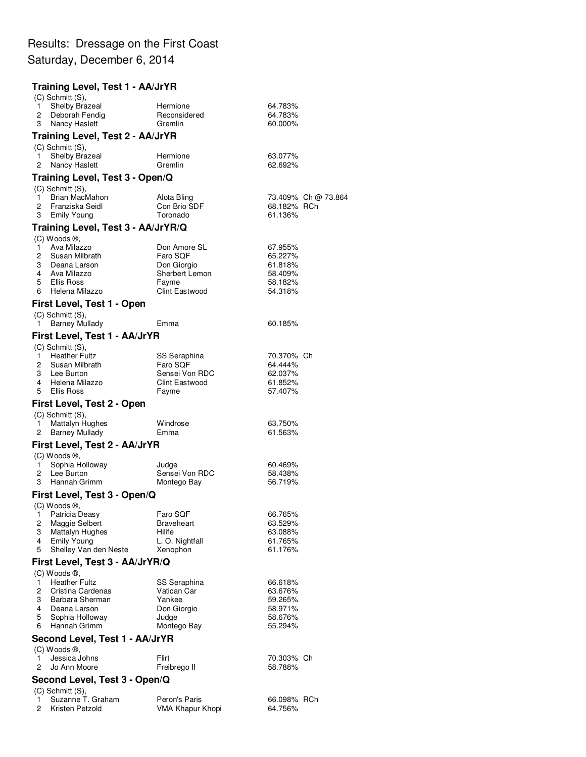## Results: Dressage on the First Coast Saturday, December 6, 2014

## **Training Level, Test 1 - AA/JrYR** (C) Schmitt (S), quareal Hermione 64.783% (1994)<br>2 Deborah Fendig (1995) Reconsidered (1989) (1989) Deborah Fendig 3 Nancy Haslett **Gremlin** Gremlin 60.000% **Training Level, Test 2 - AA/JrYR** (C) Schmitt (S), 1 Shelby Brazeal **Hermione** 63.077% 2 Nancy Haslett Gremlin 62.692% **Training Level, Test 3 - Open/Q** (C) Schmitt (S), 1 Brian MacMahon Alota Bling 73.409% Ch @ 73.864 2 Franziska Seidl Con Brio SDF 68.182% RCh 3 Emily Young Toronado **Training Level, Test 3 - AA/JrYR/Q** (C) Woods ®, 1 Ava Milazzo Don Amore SL 67.955% 2 Susan Milbrath **Faro SQF** 65.227%<br>3 Deana Larson **Communist Contract Contract Contract Contract Contract Contract Contract Contract Contract Contr** Deana Larson<br>Ava Milazzo 4 Ava Milazzo Sherbert Lemon 58.409% 5 Ellis Ross Fayme 58.182% 6 Helena Milazzo **First Level, Test 1 - Open** (C) Schmitt (S), 1 Barney Mullady **Emma** Emma 60.185% **First Level, Test 1 - AA/JrYR** (C) Schmitt (S), quare Fultz SS Seraphina 1996/2007/2008 Ch<br>1 Heather Fultz Contract SQF 304.444% 2 Susan Milbrath Faro SQF 64.444% 3 Sensei Von RDC<br>Clint Eastwood 61.852% 4 Helena Milazzo Clint Eastwood 61.852% 5 Ellis Ross **First Level, Test 2 - Open** (C) Schmitt (S), 1 Mattalyn Hughes Windrose 63.750% 2 Barney Mullady **Emma** Emma 61.563% **First Level, Test 2 - AA/JrYR** (C) Woods ®, 1 Sophia Holloway Judge 60.469% 2 Lee Burton Christian Sensei Von RDC 58.438%<br>3 Hannah Grimm Montego Bay 56.719% 3 Hannah Grimm **First Level, Test 3 - Open/Q** (C) Woods ®, 1 Patricia Deasy **Faro SQF** 66.765% 2 Maggie Selbert Braveheart 63.529%<br>3 Mattalyn Hughes Hilife Hilfe 63.088% 3 Mattalyn Hughes Hilife 63.088% Emily Young 5 Shelley Van den Neste Xenophon 61.176% **First Level, Test 3 - AA/JrYR/Q** (C) Woods ®, 1 Heather Fultz **SS Seraphina** 66.618%<br>2 Cristina Cardenas **1 National Caracter 1 (1991)** 63.676% 2 Cristina Cardenas (Cartican Carticle 1995)<br>1992 - Barbara Sherman (Carticle 1996)<br>29.265% (Carticle 1998) 3 Barbara Sherman 1988 Yankee 59.265%<br>4 Deana Larson 1988 Don Giorgio 198.971% 4 Deana Larson 5 Sophia Holloway Judge 58.676% Hannah Grimm **Second Level, Test 1 - AA/JrYR** (C) Woods ®, 1 Jessica Johns Flirt Flirt 70.303% Ch<br>2 Jo Ann Moore Freibrego II 58.788% 2 Jo Ann Moore Freibrego II **Second Level, Test 3 - Open/Q**  $(C)$  Schmitt  $(S)$

| $\sqrt{2}$ |                     |                  |             |  |  |  |  |  |  |  |
|------------|---------------------|------------------|-------------|--|--|--|--|--|--|--|
|            | 1 Suzanne T. Graham | Peron's Paris    | 66.098% RCh |  |  |  |  |  |  |  |
|            | 2 Kristen Petzold   | VMA Khapur Khopi | 64.756%     |  |  |  |  |  |  |  |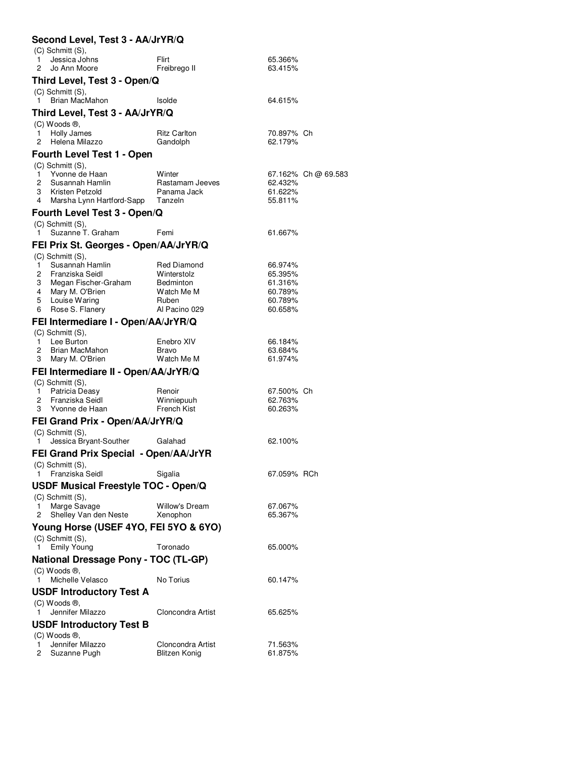| Second Level, Test 3 - AA/JrYR/Q                             |                                                        |                                 |                       |                     |  |  |  |
|--------------------------------------------------------------|--------------------------------------------------------|---------------------------------|-----------------------|---------------------|--|--|--|
| 1<br>2                                                       | $(C)$ Schmitt $(S)$ ,<br>Jessica Johns<br>Jo Ann Moore | Flirt<br>Freibrego II           | 65.366%<br>63.415%    |                     |  |  |  |
|                                                              | Third Level, Test 3 - Open/Q                           |                                 |                       |                     |  |  |  |
| 1.                                                           | $(C)$ Schmitt $(S)$ ,<br>Brian MacMahon                | Isolde                          | 64.615%               |                     |  |  |  |
|                                                              | Third Level, Test 3 - AA/JrYR/Q                        |                                 |                       |                     |  |  |  |
|                                                              | $(C)$ Woods $\mathcal{B}$ ,                            |                                 |                       |                     |  |  |  |
| 1<br>2                                                       | Holly James<br>Helena Milazzo                          | <b>Ritz Carlton</b><br>Gandolph | 70.897% Ch<br>62.179% |                     |  |  |  |
|                                                              | <b>Fourth Level Test 1 - Open</b>                      |                                 |                       |                     |  |  |  |
|                                                              | $(C)$ Schmitt $(S)$ ,                                  |                                 |                       |                     |  |  |  |
| 1                                                            | Yvonne de Haan                                         | Winter                          |                       | 67.162% Ch @ 69.583 |  |  |  |
| 2                                                            | Susannah Hamlin                                        | Rastamam Jeeves                 | 62.432%               |                     |  |  |  |
| 3<br>4                                                       | Kristen Petzold                                        | Panama Jack<br>Tanzeln          | 61.622%<br>55.811%    |                     |  |  |  |
|                                                              | Marsha Lynn Hartford-Sapp                              |                                 |                       |                     |  |  |  |
|                                                              | Fourth Level Test 3 - Open/Q                           |                                 |                       |                     |  |  |  |
|                                                              | $(C)$ Schmitt $(S)$ ,                                  |                                 |                       |                     |  |  |  |
| 1                                                            | Suzanne T. Graham                                      | Femi                            | 61.667%               |                     |  |  |  |
|                                                              | FEI Prix St. Georges - Open/AA/JrYR/Q                  |                                 |                       |                     |  |  |  |
|                                                              | (C) Schmitt (S),                                       |                                 |                       |                     |  |  |  |
| 1<br>2                                                       | Susannah Hamlin<br>Franziska Seidl                     | <b>Red Diamond</b>              | 66.974%<br>65.395%    |                     |  |  |  |
| 3                                                            | Megan Fischer-Graham                                   | Winterstolz<br><b>Bedminton</b> | 61.316%               |                     |  |  |  |
| 4                                                            | Mary M. O'Brien                                        | Watch Me M                      | 60.789%               |                     |  |  |  |
| 5                                                            | Louise Waring                                          | Ruben                           | 60.789%               |                     |  |  |  |
| 6                                                            | Rose S. Flanery                                        | Al Pacino 029                   | 60.658%               |                     |  |  |  |
|                                                              | FEI Intermediare I - Open/AA/JrYR/Q                    |                                 |                       |                     |  |  |  |
|                                                              | $(C)$ Schmitt $(S)$ ,                                  |                                 |                       |                     |  |  |  |
| 1.                                                           | Lee Burton                                             | Enebro XIV                      | 66.184%               |                     |  |  |  |
| 2                                                            | Brian MacMahon                                         | Bravo                           | 63.684%               |                     |  |  |  |
| 3                                                            | Mary M. O'Brien                                        | Watch Me M                      | 61.974%               |                     |  |  |  |
|                                                              | FEI Intermediare II - Open/AA/JrYR/Q                   |                                 |                       |                     |  |  |  |
|                                                              | $(C)$ Schmitt $(S)$ ,                                  |                                 |                       |                     |  |  |  |
| 1                                                            | Patricia Deasy                                         | Renoir                          | 67.500% Ch            |                     |  |  |  |
| 2                                                            | Franziska Seidl                                        | Winniepuuh                      | 62.763%               |                     |  |  |  |
| 3                                                            | Yvonne de Haan                                         | French Kist                     | 60.263%               |                     |  |  |  |
|                                                              | FEI Grand Prix - Open/AA/JrYR/Q                        |                                 |                       |                     |  |  |  |
|                                                              | $(C)$ Schmitt $(S)$ ,                                  |                                 |                       |                     |  |  |  |
| 1                                                            | Jessica Bryant-Souther                                 | Galahad                         | 62.100%               |                     |  |  |  |
|                                                              | FEI Grand Prix Special - Open/AA/JrYR                  |                                 |                       |                     |  |  |  |
|                                                              | (C) Schmitt (S),                                       |                                 |                       |                     |  |  |  |
| 1.                                                           | Franziska Seidl                                        | Sigalia                         | 67.059% RCh           |                     |  |  |  |
|                                                              | USDF Musical Freestyle TOC - Open/Q                    |                                 |                       |                     |  |  |  |
|                                                              | $(C)$ Schmitt $(S)$ ,                                  |                                 |                       |                     |  |  |  |
| 1                                                            | Marge Savage                                           | Willow's Dream                  | 67.067%               |                     |  |  |  |
| 2                                                            | Shelley Van den Neste                                  | Xenophon                        | 65.367%               |                     |  |  |  |
|                                                              | Young Horse (USEF 4YO, FEI 5YO & 6YO)                  |                                 |                       |                     |  |  |  |
|                                                              | (C) Schmitt (S),                                       |                                 |                       |                     |  |  |  |
| 1                                                            | <b>Emily Young</b>                                     | Toronado                        | 65.000%               |                     |  |  |  |
|                                                              | <b>National Dressage Pony - TOC (TL-GP)</b>            |                                 |                       |                     |  |  |  |
|                                                              | (C) Woods ®,                                           |                                 |                       |                     |  |  |  |
| 1                                                            | Michelle Velasco                                       | No Torius                       | 60.147%               |                     |  |  |  |
|                                                              | <b>USDF Introductory Test A</b>                        |                                 |                       |                     |  |  |  |
| $(C)$ Woods $\mathcal{B}$ ,                                  |                                                        |                                 |                       |                     |  |  |  |
| 1                                                            | Jennifer Milazzo                                       | Cloncondra Artist               | 65.625%               |                     |  |  |  |
|                                                              |                                                        |                                 |                       |                     |  |  |  |
| <b>USDF Introductory Test B</b><br>$(C)$ Woods $\circledR$ , |                                                        |                                 |                       |                     |  |  |  |
| 1                                                            | Jennifer Milazzo                                       | Cloncondra Artist               | 71.563%               |                     |  |  |  |
| 2                                                            | Suzanne Pugh                                           | <b>Blitzen Konig</b>            | 61.875%               |                     |  |  |  |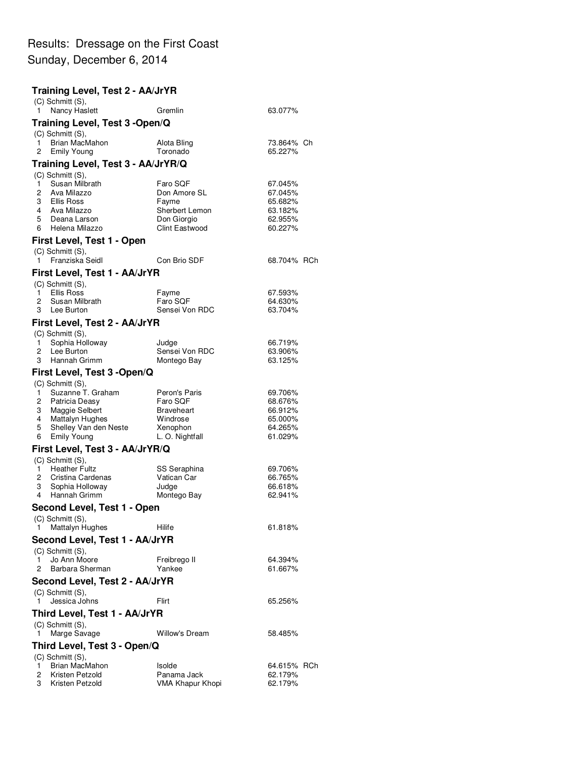## Results: Dressage on the First Coast Sunday, December 6, 2014

## **Training Level, Test 2 - AA/JrYR** (C) Schmitt (S), 1 Nancy Haslett **Gremlin** Gremlin 63.077% **Training Level, Test 3 -Open/Q** (C) Schmitt (S), 1 Brian MacMahon Alota Bling 73.864% Ch Emily Young **Training Level, Test 3 - AA/JrYR/Q** (C) Schmitt (S), 1 Susan Milbrath Faro SQF 67.045%<br>Ava Milazzo **1.1 Susan Faro SQF 67.045%** 2 Ava Milazzo Don Amore SL 67.045% 3 Ellis Ross Fayme 65.682% 4 Ava Milazzo Sherbert Lemon 63.182% 5 Deana Larson **1988 Don Giorgio 18 Composition**<br>6 Helena Milazzo 1989 Clint Eastwood 18 60.227% 6 Helena Milazzo **First Level, Test 1 - Open** (C) Schmitt (S), 1 Franziska Seidl Con Brio SDF 68.704% RCh **First Level, Test 1 - AA/JrYR** (C) Schmitt (S), 1 Ellis Ross Fayme 67.593% 2 Susan Milbrath Faro SQF 64.630% 3 Lee Burton Sensei Von RDC **First Level, Test 2 - AA/JrYR** (C) Schmitt (S), 1 Sophia Holloway **1** Judge 1980 1980 1980 1981 1984<br>1 Lee Burton 1980 1991 Sensei Von RDC 1981 1982 2 Lee Burton Sensei Von RDC 3 Hannah Grimm Montego Bay 63.125% **First Level, Test 3 -Open/Q** (C) Schmitt (S), quart in Suzanne T. Graham (1987) Peron's Paris (1987-1998) 69.706% (1988) 69.706% (1988) Peronis Paris (1988)<br>19. Batricia Deasy (1988) Paro SQF (1988) 68.676% 2 Patricia Deasy **Faro SQF** 68.676%<br>3 Maggie Selbert **Braveheart** 66.912% 3 Maggie Selbert Braveheart 66.912%<br>4 Mattalyn Hughes Windrose 65.000% 4 Mattalyn Hughes Windrose 65.000%<br>5 Shelley Van den Neste Xenophon 64.265% 5 Shelley Van den Neste Xenophon (64.265%)<br>Emily Young (61.029%) L. O. Nightfall 6 Emily Young **First Level, Test 3 - AA/JrYR/Q** (C) Schmitt (S), 1 Heather Fultz **SS Seraphina** 69.706%<br>2 Cristina Cardenas **Caracter Vatican Car** 66.765% Cristina Cardenas 3 Sophia Holloway Judge 66.618% 4 Hannah Grimm Montego Bay 62.941% **Second Level, Test 1 - Open** (C) Schmitt (S), 1 Mattalyn Hughes Hilife **Hillife** 61.818% **Second Level, Test 1 - AA/JrYR** (C) Schmitt (S), 1 Jo Ann Moore **Freibrego II** 64.394%<br>
Barbara Sherman Mankee **Freibream Communist Communist Communist** G1.667% 2 Barbara Sherman **Second Level, Test 2 - AA/JrYR** (C) Schmitt (S), **1** Jessica Johns Flirt Flirt 65.256% **Third Level, Test 1 - AA/JrYR** (C) Schmitt (S), 1 Marge Savage Willow's Dream 58.485% **Third Level, Test 3 - Open/Q** (C) Schmitt (S), 1 Brian MacMahon Isolde 1 Bolde 64.615% RCh<br>2 Kristen Petzold 1 Panama Jack 62.179% 2 Kristen Petzold Panama Jack 62.179% VMA Khapur Khopi